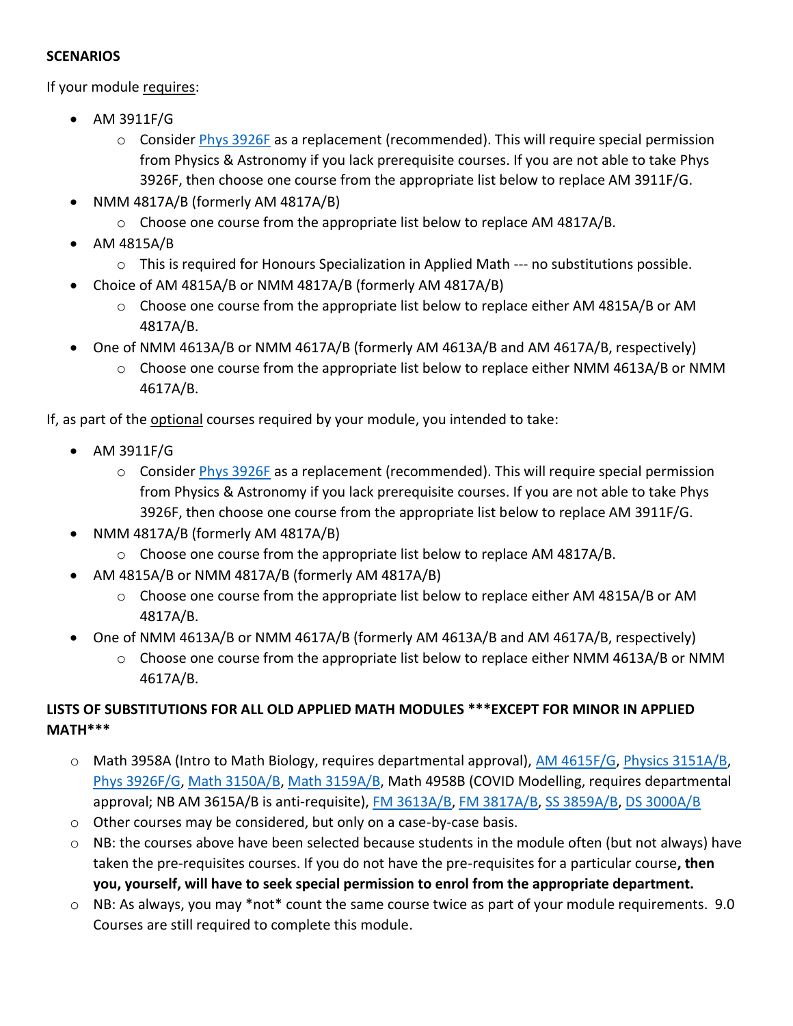## **SCENARIOS**

If your module requires:

- AM 3911F/G
	- $\circ$  Conside[r Phys 3926F](https://www.westerncalendar.uwo.ca/Courses.cfm?CourseAcadCalendarID=MAIN_017260_1&SelectedCalendar=Live&ArchiveID=) as a replacement (recommended). This will require special permission from Physics & Astronomy if you lack prerequisite courses. If you are not able to take Phys 3926F, then choose one course from the appropriate list below to replace AM 3911F/G.
- NMM 4817A/B (formerly AM 4817A/B)
	- $\circ$  Choose one course from the appropriate list below to replace AM 4817A/B.
- AM 4815A/B
	- $\circ$  This is required for Honours Specialization in Applied Math --- no substitutions possible.
- Choice of AM 4815A/B or NMM 4817A/B (formerly AM 4817A/B)
	- o Choose one course from the appropriate list below to replace either AM 4815A/B or AM 4817A/B.
- One of NMM 4613A/B or NMM 4617A/B (formerly AM 4613A/B and AM 4617A/B, respectively)
	- o Choose one course from the appropriate list below to replace either NMM 4613A/B or NMM 4617A/B.

If, as part of the optional courses required by your module, you intended to take:

- AM 3911F/G
	- o Conside[r Phys 3926F](https://www.westerncalendar.uwo.ca/Courses.cfm?CourseAcadCalendarID=MAIN_017260_1&SelectedCalendar=Live&ArchiveID=) as a replacement (recommended). This will require special permission from Physics & Astronomy if you lack prerequisite courses. If you are not able to take Phys 3926F, then choose one course from the appropriate list below to replace AM 3911F/G.
- NMM 4817A/B (formerly AM 4817A/B)
	- o Choose one course from the appropriate list below to replace AM 4817A/B.
- AM 4815A/B or NMM 4817A/B (formerly AM 4817A/B)
	- o Choose one course from the appropriate list below to replace either AM 4815A/B or AM 4817A/B.
- One of NMM 4613A/B or NMM 4617A/B (formerly AM 4613A/B and AM 4617A/B, respectively)
	- o Choose one course from the appropriate list below to replace either NMM 4613A/B or NMM 4617A/B.

## **LISTS OF SUBSTITUTIONS FOR ALL OLD APPLIED MATH MODULES \*\*\*EXCEPT FOR MINOR IN APPLIED MATH\*\*\***

- o Math 3958A (Intro to Math Biology, requires departmental approval), [AM 4615F/G,](https://www.westerncalendar.uwo.ca/Courses.cfm?CourseAcadCalendarID=MAIN_011370_1&SelectedCalendar=Live&ArchiveID=) [Physics 3151A/B,](https://www.westerncalendar.uwo.ca/Courses.cfm?CourseAcadCalendarID=MAIN_010325_1&SelectedCalendar=Live&ArchiveID=) [Phys 3926F/G,](https://www.westerncalendar.uwo.ca/Courses.cfm?CourseAcadCalendarID=MAIN_017260_1&SelectedCalendar=Live&ArchiveID=) [Math 3150A/B,](https://www.westerncalendar.uwo.ca/Courses.cfm?CourseAcadCalendarID=MAIN_010438_1&SelectedCalendar=Live&ArchiveID=) [Math 3159A/B,](https://www.westerncalendar.uwo.ca/Courses.cfm?CourseAcadCalendarID=MAIN_024184_1&SelectedCalendar=Live&ArchiveID=) Math 4958B (COVID Modelling, requires departmental approval; NB AM 3615A/B is anti-requisite)[, FM 3613A/B,](https://www.westerncalendar.uwo.ca/Courses.cfm?CourseAcadCalendarID=MAIN_025932_1&SelectedCalendar=Live&ArchiveID=) [FM 3817A/B,](https://www.westerncalendar.uwo.ca/Courses.cfm?CourseAcadCalendarID=MAIN_025933_1&SelectedCalendar=Live&ArchiveID=) [SS 3859A/B,](https://www.westerncalendar.uwo.ca/Courses.cfm?CourseAcadCalendarID=MAIN_008678_1&SelectedCalendar=Live&ArchiveID=) [DS 3000A/B](https://www.westerncalendar.uwo.ca/Courses.cfm?CourseAcadCalendarID=MAIN_029875_1&SelectedCalendar=Live&ArchiveID=)
- o Other courses may be considered, but only on a case-by-case basis.
- $\circ$  NB: the courses above have been selected because students in the module often (but not always) have taken the pre-requisites courses. If you do not have the pre-requisites for a particular course**, then you, yourself, will have to seek special permission to enrol from the appropriate department.**
- o NB: As always, you may \*not\* count the same course twice as part of your module requirements. 9.0 Courses are still required to complete this module.